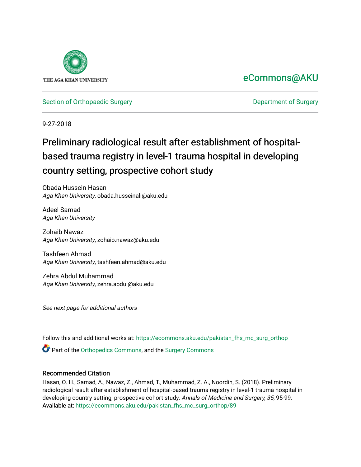

# [eCommons@AKU](https://ecommons.aku.edu/)

[Section of Orthopaedic Surgery](https://ecommons.aku.edu/pakistan_fhs_mc_surg_orthop) **Department of Surgery** Department of Surgery

9-27-2018

# Preliminary radiological result after establishment of hospitalbased trauma registry in level-1 trauma hospital in developing country setting, prospective cohort study

Obada Hussein Hasan Aga Khan University, obada.husseinali@aku.edu

Adeel Samad Aga Khan University

Zohaib Nawaz Aga Khan University, zohaib.nawaz@aku.edu

Tashfeen Ahmad Aga Khan University, tashfeen.ahmad@aku.edu

Zehra Abdul Muhammad Aga Khan University, zehra.abdul@aku.edu

See next page for additional authors

Follow this and additional works at: [https://ecommons.aku.edu/pakistan\\_fhs\\_mc\\_surg\\_orthop](https://ecommons.aku.edu/pakistan_fhs_mc_surg_orthop?utm_source=ecommons.aku.edu%2Fpakistan_fhs_mc_surg_orthop%2F89&utm_medium=PDF&utm_campaign=PDFCoverPages)

Part of the [Orthopedics Commons](http://network.bepress.com/hgg/discipline/696?utm_source=ecommons.aku.edu%2Fpakistan_fhs_mc_surg_orthop%2F89&utm_medium=PDF&utm_campaign=PDFCoverPages), and the [Surgery Commons](http://network.bepress.com/hgg/discipline/706?utm_source=ecommons.aku.edu%2Fpakistan_fhs_mc_surg_orthop%2F89&utm_medium=PDF&utm_campaign=PDFCoverPages) 

#### Recommended Citation

Hasan, O. H., Samad, A., Nawaz, Z., Ahmad, T., Muhammad, Z. A., Noordin, S. (2018). Preliminary radiological result after establishment of hospital-based trauma registry in level-1 trauma hospital in developing country setting, prospective cohort study. Annals of Medicine and Surgery, 35, 95-99. Available at: [https://ecommons.aku.edu/pakistan\\_fhs\\_mc\\_surg\\_orthop/89](https://ecommons.aku.edu/pakistan_fhs_mc_surg_orthop/89)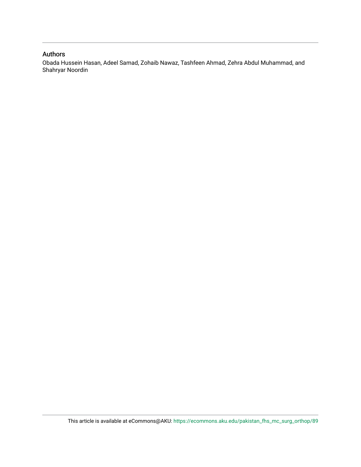### Authors

Obada Hussein Hasan, Adeel Samad, Zohaib Nawaz, Tashfeen Ahmad, Zehra Abdul Muhammad, and Shahryar Noordin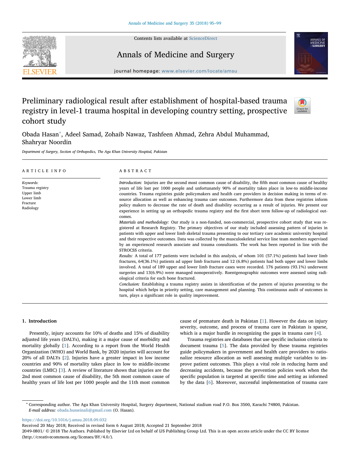Contents lists available at [ScienceDirect](http://www.sciencedirect.com/science/journal/20490801)



## Annals of Medicine and Surgery

journal homepage: [www.elsevier.com/locate/amsu](https://www.elsevier.com/locate/amsu)

# Preliminary radiological result after establishment of hospital-based trauma registry in level-1 trauma hospital in developing country setting, prospective cohort study



Obada Hasan[∗](#page-2-0) , Adeel Samad, Zohaib Nawaz, Tashfeen Ahmad, Zehra Abdul Muhammad, Shahryar Noordin

Department of Surgery, Section of Orthopedics, The Aga Khan University Hospital, Pakistan

| <b>ARTICLE INFO</b>                                                               | ABSTRACT                                                                                                                                                                                                                                                                                                                                                                                                                                                                                                                                                                                                                                                                                                                                                                                                                                                                                                                                                                                                                                                                                                                                                                                                                                                                            |
|-----------------------------------------------------------------------------------|-------------------------------------------------------------------------------------------------------------------------------------------------------------------------------------------------------------------------------------------------------------------------------------------------------------------------------------------------------------------------------------------------------------------------------------------------------------------------------------------------------------------------------------------------------------------------------------------------------------------------------------------------------------------------------------------------------------------------------------------------------------------------------------------------------------------------------------------------------------------------------------------------------------------------------------------------------------------------------------------------------------------------------------------------------------------------------------------------------------------------------------------------------------------------------------------------------------------------------------------------------------------------------------|
| Keywords:<br>Trauma registry<br>Upper limb<br>Lower limb<br>Fracture<br>Radiology | Introduction: Injuries are the second most common cause of disability, the fifth most common cause of healthy<br>years of life lost per 1000 people and unfortunately 90% of mortality takes place in low-to middle-income<br>countries. Trauma registries guide policymakers and health care providers in decision making in terms of re-<br>source allocation as well as enhancing trauma care outcomes. Furthermore data from these registries inform<br>policy makers to decrease the rate of death and disability occurring as a result of injuries. We present our<br>experience in setting up an orthopedic trauma registry and the first short term follow-up of radiological out-<br>comes.<br>Materials and methodology: Our study is a non-funded, non-commercial, prospective cohort study that was re-<br>gistered at Research Registry. The primary objectives of our study included assessing pattern of injuries in<br>patients with upper and lower limb skeletal trauma presenting to our tertiary care academic university hospital<br>and their respective outcomes. Data was collected by the musculoskeletal service line team members supervised<br>by an experienced research associate and trauma consultants. The work has been reported in line with the |
|                                                                                   | STROCSS criteria.<br>Results: A total of 177 patients were included in this analysis, of whom 101 (57.1%) patients had lower limb<br>fractures, 64(36.1%) patients ad upper limb fractures and 12 (6.8%) patients had both upper and lower limbs<br>involved. A total of 189 upper and lower limb fracture cases were recorded. 176 patients (93.1%) underwent<br>surgeries and 13(6.9%) were managed nonoperatively. Roentgenographic outcomes were assessed using radi-<br>ological criteria for each bone fractured.<br>Conclusion: Establishing a trauma registry assists in identification of the pattern of injuries presenting to the<br>hospital which helps in priority setting, care management and planning. This continuous audit of outcomes in<br>turn, plays a significant role in quality improvement.                                                                                                                                                                                                                                                                                                                                                                                                                                                              |

#### 1. Introduction

Presently, injury accounts for 10% of deaths and 15% of disability adjusted life years (DALYs), making it a major cause of morbidity and mortality globally [[1](#page-6-0)]. According to a report from the World Health Organization (WHO) and World Bank, by 2020 injuries will account for 20% of all DALYs [\[2\]](#page-6-1). Injuries have a greater impact in low income countries and 90% of mortality takes place in low to middle-income countries (LMIC) [\[3\]](#page-6-2). A review of literature shows that injuries are the 2nd most common cause of disability, the 5th most common cause of healthy years of life lost per 1000 people and the 11th most common cause of premature death in Pakistan [[1](#page-6-0)]. However the data on injury severity, outcome, and process of trauma care in Pakistan is sparse, which is a major hurdle in recognizing the gaps in trauma care [[4](#page-6-3)].

Trauma registries are databases that use specific inclusion criteria to document trauma [[5](#page-6-4)]. The data provided by these trauma registries guide policymakers in government and health care providers to rationalize resource allocation as well assessing multiple variables to improve patient outcomes. This plays a vital role in reducing harm and decreasing accidents, because the prevention policies work when the specific population is targeted at specific time and setting as informed by the data [[6](#page-6-5)]. Moreover, successful implementation of trauma care

<https://doi.org/10.1016/j.amsu.2018.09.032>

Received 20 May 2018; Received in revised form 6 August 2018; Accepted 21 September 2018

<span id="page-2-0"></span><sup>∗</sup> Corresponding author. The Aga Khan University Hospital, Surgery department, National stadium road P.O. Box 3500, Karachi 74800, Pakistan. E-mail address: [obada.husseinali@gmail.com](mailto:obada.husseinali@gmail.com) (O. Hasan).

<sup>2049-0801/ © 2018</sup> The Authors. Published by Elsevier Ltd on behalf of IJS Publishing Group Ltd. This is an open access article under the CC BY license (http://creativecommons.org/licenses/BY/4.0/).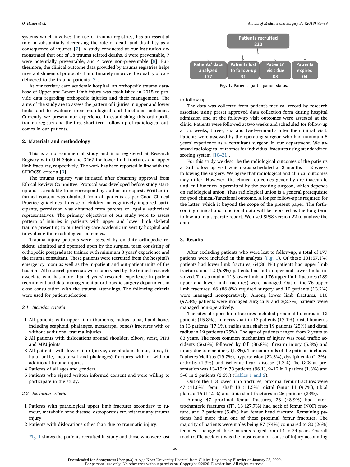systems which involves the use of trauma registries, has an essential role in substantially decreasing the rate of death and disability as a consequence of injuries [[7](#page-6-6)]. A study conducted at our institution demonstrated that out of 18 trauma related deaths, 6 were preventable, 7 were potentially preventable, and 4 were non-preventable [\[8\]](#page-6-7). Furthermore, the clinical outcome data provided by trauma registries helps in establishment of protocols that ultimately improve the quality of care delivered to the trauma patients [[7\]](#page-6-6).

At our tertiary care academic hospital, an orthopedic trauma database of Upper and Lower Limb injury was established in 2015 to provide data regarding orthopedic injuries and their management. The aims of the study are to assess the pattern of injuries in upper and lower limbs and to evaluate their radiological and functional outcomes. Currently we present our experience in establishing this orthopedic trauma registry and the first short term follow-up of radiological outcomes in our patients.

#### 2. Materials and methodology

This is a non-commercial study and it is registered at Research Registry with UIN 3466 and 3467 for lower limb fractures and upper limb fractures, respectively. The work has been reported in line with the STROCSS criteria [[9](#page-6-8)].

The trauma registry was initiated after obtaining approval from Ethical Review Committee. Protocol was developed before study startup and is available from corresponding author on request. Written informed consent was obtained from all patients as per Good Clinical Practice guidelines. In case of children or cognitively impaired participants, permission was obtained from parents or legally authorized representatives. The primary objectives of our study were to assess pattern of injuries in patients with upper and lower limb skeletal trauma presenting to our tertiary care academic university hospital and to evaluate their radiological outcomes.

Trauma injury patients were assessed by on duty orthopedic resident, admitted and operated upon by the surgical team consisting of orthopedic postgraduate trainee with minimum 3 years' experience and the trauma consultant. These patients were recruited from the hospital's emergency room as well as the in-patient and out-patient units of the hospital. All research processes were supervised by the trained research associate who has more than 4 years' research experience in patient recruitment and data management at orthopedic surgery department in close consultation with the trauma attendings. The following criteria were used for patient selection:

#### 2.1. Inclusion criteria

- 1 All patients with upper limb (humerus, radius, ulna, hand bones including scaphoid, phalanges, metacarpal bones) fractures with or without additional trauma injuries
- 2 All patients with dislocations around shoulder, elbow, wrist, PIPJ and MPJ joints.
- 3 All patients with lower limb (pelvic, acetabulum, femur, tibia, fibula, ankle, metatarsal and phalanges) fractures with or without additional trauma injuries
- 4 Patients of all ages and genders.
- 5 Patients who signed written informed consent and were willing to participate in the study.
- 2.2. Exclusion criteria
- 1 Patients with pathological upper limb fractures secondary to tumour, metabolic bone disease, osteoporosis etc. without any trauma injury.
- 2 Patients with dislocations other than due to traumatic injury.

[Fig. 1](#page-3-0) shows the patients recruited in study and those who were lost

<span id="page-3-0"></span>

Fig. 1. Patient's participation status.

to follow-up.

The data was collected from patient's medical record by research associate using preset approved data collection form during hospital admission and at the follow-up visit outcomes were assessed at the clinic. Patients were followed at two weeks and scheduled for follow-up at six weeks, three-, six- and twelve-months after their initial visit. Patients were assessed by the operating surgeon who had minimum 5 years' experience as a consultant surgeon in our department. We assessed radiological outcomes for individual fractures using standardized scoring system [10–[21\]](#page-6-9).

For this study we describe the radiological outcomes of the patients at 3rd follow up visit which was scheduled at 3 months  $\pm$  2 weeks following the surgery. We agree that radiological and clinical outcomes may differ. However, the clinical outcomes generally are inaccurate until full function is permitted by the treating surgeon, which depends on radiological union. Thus radiological union is a general prerequisite for good clinical/functional outcome. A longer follow-up is required for the latter, which is beyond the scope of the present paper. The forthcoming clinical and functional data will be reported as the long term follow-up in a separate report. We used SPSS version 22 to analyze the data.

#### 3. Results

After excluding patients who were lost to follow-up, a total of 177 patients were included in this analysis ([Fig. 1\)](#page-3-0). Of these 101(57.1%) patients had lower limb fractures, 64(36.1%) patients had upper limb fractures and 12 (6.8%) patients had both upper and lower limbs involved. Thus a total of 113 lower limb and 76 upper limb fractures (189 upper and lower limb fractures) were managed. Out of the 76 upper limb fractures, 66 (86.8%) required surgery and 10 patients (13.2%) were managed nonoperatively. Among lower limb fractures, 110 (97.3%) patients were managed surgically and 3(2.7%) patients were managed non-operatively.

The sites of upper limb fractures included proximal humerus in 12 patients (15.8%), humerus shaft in 13 patients (17.1%), distal humerus in 13 patients (17.1%), radius ulna shaft in 19 patients (25%) and distal radius in 19 patients (25%). The age of patients ranged from 2 years to 83 years. The most common mechanism of injury was road traffic accidents (56.6%) followed by fall (36.8%), firearm injury (5.3%) and injury due to machinery (1.3%). The comorbids of the patients included Diabetes Mellitus (19.7%), hypertension (22.3%), dyslipidemia (1.3%), arthritis (1.3%) and ischemic heart disease (1.3%).The GCS at presentation was 13–15 in 73 patients (96.1), 9–12 in 1 patient (1.3%) and 3–8 in 2 patients (2.6%) [\(Tables 1 and 2\)](#page-4-0).

Out of the 113 lower limb fractures, proximal femur fractures were 47 (41.6%), femur shaft 13 (11.5%), distal femur 11 (9.7%), tibial plateau 16 (14.2%) and tibia shaft fractures in 26 patients (23%).

Among 47 proximal femur fractures, 23 (48.9%) had intertrochanteric fractures (IT), 13 (27.7%) had neck of femur (NOF) fracture, and 2 patients (5.4%) had femur head fracture. Remaining patients had more than one of these proximal femur fractures. The majority of patients were males being 87 (74%) compared to 30 (26%) females. The age of these patients ranged from 14 to 74 years. Overall road traffic accident was the most common cause of injury accounting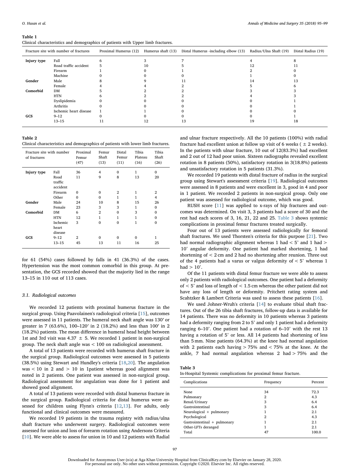#### <span id="page-4-0"></span>Table 1 Clinical characteristics and demographics of patients with Upper limb fractures.

|             | Fracture site with number of fractures | Proximal Humerus (12) | Humerus shaft (13) | Distal Humerus -including elbow (13) | Radius/Ulna Shaft (19) | Distal Radius (19) |
|-------------|----------------------------------------|-----------------------|--------------------|--------------------------------------|------------------------|--------------------|
| Injury type | Fall                                   |                       |                    |                                      |                        |                    |
|             | Road traffic accident                  |                       | 10                 |                                      | 12                     |                    |
|             | Firearm                                |                       |                    |                                      |                        |                    |
|             | Machine                                |                       |                    |                                      |                        |                    |
| Gender      | Male                                   |                       |                    |                                      |                        |                    |
|             | Female                                 |                       |                    |                                      |                        |                    |
| Comorbid    | DM                                     |                       |                    |                                      |                        |                    |
|             | <b>HTN</b>                             |                       |                    |                                      |                        |                    |
|             | Dyslipidemia                           |                       |                    |                                      |                        |                    |
|             | Arthritis                              |                       |                    |                                      |                        |                    |
|             | Ischemic heart disease                 |                       |                    |                                      |                        |                    |
| GCS         | $9 - 12$                               |                       |                    |                                      |                        |                    |
|             | $13 - 15$                              |                       | 12                 | 13                                   | 19                     | 18                 |

#### Table 2

|  | Clinical characteristics and demographics of patients with lower limb fractures. |  |  |  |  |  |  |  |  |
|--|----------------------------------------------------------------------------------|--|--|--|--|--|--|--|--|
|--|----------------------------------------------------------------------------------|--|--|--|--|--|--|--|--|

| Fracture site with number<br>of fractures |                              | Proximal<br>Femur<br>(47) | Femur<br>Shaft<br>(13) | Distal<br>Femur<br>(11) | Tibia<br>Plateau<br>(16) | Tibia<br>Shaft<br>(26) |
|-------------------------------------------|------------------------------|---------------------------|------------------------|-------------------------|--------------------------|------------------------|
| Injury type                               | Fall                         | 36                        | 4                      | $\Omega$                | 1                        | $\Omega$               |
|                                           | Road<br>traffic<br>accident  | 11                        | 9                      | 8                       | 13                       | 20                     |
|                                           | Firearm                      | $\Omega$                  | $\Omega$               | $\overline{2}$          | 1                        | $\overline{2}$         |
|                                           | Other                        | $\Omega$                  | $\Omega$               | 1                       | 1                        | 4                      |
| Gender                                    | Male                         | 24                        | 10                     | 8                       | 15                       | 26                     |
|                                           | Female                       | 23                        | 3                      | 3                       | 1                        | $\Omega$               |
| Comorbid                                  | DM                           | 6                         | $\overline{2}$         | $\Omega$                | 3                        | $\Omega$               |
|                                           | <b>HTN</b>                   | 12                        | 1                      | 1                       | 1                        | $\Omega$               |
|                                           | Ischemic<br>heart<br>disease | 3                         | $\Omega$               | $\Omega$                | 1                        | $\Omega$               |
| GCS                                       | $9 - 12$                     | $\overline{2}$            | $\Omega$               | $\Omega$                | $\Omega$                 | 1                      |
|                                           | $13 - 15$                    | 45                        | 13                     | 11                      | 16                       | 25                     |

for 61 (54%) cases followed by falls in 41 (36.3%) of the cases. Hypertension was the most common comorbid in this group. At presentation, the GCS recorded showed that the majority lied in the range 13–15 in 110 out of 113 cases.

#### 3.1. Radiological outcomes

We recorded 12 patients with proximal humerus fracture in the surgical group. Using Paavolainen's radiological criteria [[15\]](#page-6-10), outcomes were assessed in 11 patients. The humeral neck shaft angle was 130′ or greater in 7 (63.6%), 100–120′ in 2 (18.2%) and less than 100′ in 2 (18.2%) patients. The mean difference in humeral head height between 1st and 3rd visit was 4.37  $\pm$  5. We recorded 1 patient in non-surgical group. The neck shaft angle was < 100 on radiological assessment.

A total of 13 patients were recorded with humerus shaft fracture in the surgical group. Radiological outcomes were assessed in 5 patients (38.5%) using Stewart and Hundley's criteria [[18](#page-6-11)[,20](#page-6-12)]. The angulation  $was < 10$  in 2 and  $> 10$  in 1patient whereas good alignment was noted in 2 patients. One patient was assessed in non-surgical group. Radiological assessment for angulation was done for 1 patient and showed good alignment.

A total of 13 patients were recorded with distal humerus fracture in the surgical group. Radiological criteria for distal humerus were assessed for children using Flynn's criteria [\[12](#page-6-13),[13](#page-6-14)]. For adults, only functional and clinical outcomes were measured.

We recorded 19 patients in the trauma registry with radius/ulna shaft fracture who underwent surgery. Radiological outcomes were assessed for union and loss of forearm rotation using Andersons Criteria [[10\]](#page-6-9). We were able to assess for union in 10 and 12 patients with Radial

and ulnar fracture respectively. All the 10 patients (100%) with radial fracture had excellent union at follow up visit of 6 weeks ( $\pm$  2 weeks). In the patients with ulnar fracture, 10 out of 12(83.3%) had excellent and 2 out of 12 had poor union. Sixteen radiographs revealed excellent rotation in 8 patients (50%), satisfactory rotation in 3(18.8%) patients and unsatisfactory rotation in 5 patients (31.3%).

We recorded 19 patients with distal fracture of radius in the surgical group using Stewart's assessment criteria [[19\]](#page-6-15). Radiological outcomes were assessed in 8 patients and were excellent in 3, good in 4 and poor in 1 patient. We recorded 2 patients in non-surgical group. Only one patient was assessed for radiological outcome, which was good.

RUSH score [[11\]](#page-6-16) was applied to x-rays of hip fractures and outcomes was determined. On visit 3, 3 patients had a score of 30 and the rest had each scores of 3, 16, 21, 22 and 25. [Table 3](#page-4-1) shows systemic complications in proximal femur fractures treated surgically.

Four out of 13 patients were assessed radiologically for femoral shaft fractures. We used Thorsten's criteria for this purpose [[21\]](#page-6-17). Two had normal radiographic alignment whereas 1 had  $\lt$  5° and 1 had  $>$ 10° angular deformity. One patient had marked shortening, 1 had shortening of < 2 cm and 2 had no shortening after reunion. Three out of the 4 patients had a varus or valgus deformity of < 5° whereas 1 had  $> 10^\circ$ .

Of the 11 patients with distal femur fracture we were able to assess only 2 patients with radiological outcomes. One patient had a deformity of  $\lt$  5 $^{\circ}$  and loss of length of  $\lt$  1.5 cm whereas the other patient did not have any loss of length or deformity. Pritchett rating system and Scahtzker & Lambert Criteria was used to assess these patients [[16\]](#page-6-18).

We used Johner-Wruh's criteria [[14\]](#page-6-19) to evaluate tibial shaft fractures. Out of the 26 tibia shaft fractures, follow-up data is available for 14 patients. There was no deformity in 10 patients whereas 3 patients had a deformity ranging from 2 to 5° and only 1 patient had a deformity ranging 6–10°. One patient had a rotation of 6–10° with the rest 13 having a rotation of 5° or less. All 14 patients had shortening of less than 5 mm. Nine patients (64.3%) at the knee had normal angulation with 2 patients each having  $> 75\%$  and  $< 75\%$  at the knee. At the ankle, 7 had normal angulation whereas 2 had  $> 75\%$  and the

#### <span id="page-4-1"></span>Table 3

| In-Hospital Systemic complications for proximal femur fracture. |  |  |  |
|-----------------------------------------------------------------|--|--|--|
|-----------------------------------------------------------------|--|--|--|

| Complications                | Frequency | Percent |
|------------------------------|-----------|---------|
| <b>None</b>                  | 34        | 72.3    |
| Pulmonary                    | 2         | 4.3     |
| Renal/Urinary                | 3         | 6.4     |
| Gastrointestinal             | 3         | 6.4     |
| Neurological $+$ pulmonary   |           | 2.1     |
| Psychological                | 2         | 4.3     |
| Gastrointestinal + pulmonary |           | 2.1     |
| Other-LFTs deranged          |           | 2.1     |
| Total                        | 47        | 100.0   |

97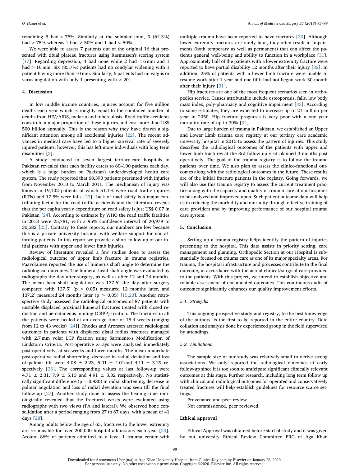remaining 5 had  $<$  75%. Similarly at the subtalar joint, 9 (64.3%) had  $>$  75% whereas 1 had  $>$  50% and 1 had  $<$  50%.

We were able to assess 7 patients out of the original 16 that presented with tibial plateau fractures using Rasmussen's scoring system [[17\]](#page-6-20). Regarding depression, 4 had none while 2 had < 6 mm and 1 had > 10 mm. Six (85.7%) patients had no condylar widening with 1 patient having more than 10 mm. Similarly, 6 patients had no valgus or varus angulation with only 1 presenting with > 20°.

#### 4. Discussion

In low middle income countries, injuries account for five million deaths each year which is roughly equal to the combined number of deaths from HIV/AIDS, malaria and tuberculosis. Road traffic accidents constitute a major proportion of these injuries and cost more than US\$ 500 billion annually. This is the reason why they have drawn a significant attention among all accidental injuries [[22\]](#page-6-21). The recent advances in medical care have led to a higher survival rate of severely injured patients; however, this has left more individuals with long term disabilities [[2](#page-6-1)].

A study conducted in seven largest tertiary-care hospitals in Pakistan revealed that each facility caters to 80–100 patients each day, which is a huge burden on Pakistan's underdeveloped health care system. The study reported that 68,390 patients presented with injuries from November 2010 to March 2011. The mechanism of injury was known in 19,102 patients of which 51.1% were road traffic injuries (RTIs) and 17.5% were falls [[23\]](#page-6-22). Lack of road safety is a major contributing factor for the road traffic accidents and the literature reveals that the per capita yearly expenditure on road safety is just US\$ 0.07 in Pakistan [\[24](#page-6-23)]. According to estimate by WHO the road traffic fatalities in 2013 were 25,781, with a 95% confidence interval of 20,979 to 30,582 [[25\]](#page-6-24). Contrary to these reports, our numbers are low because this is a private university hospital with welfare support for non-affording patients. In this report we provide a short follow-up of our initial patients with upper and lower limb injuries.

Review of literature revealed a few studies done to assess the radiological outcome of upper limb fracture in trauma registries. Paavolainen reported the use of humerus shaft angle to determine the radiological outcomes. The humeral head-shaft angle was evaluated by radiographs the day after surgery, as well as after 12 and 24 months. The mean head-shaft angulation was 137.6° the day after surgery compared with  $137.5^{\circ}$  (p > 0.05) measured 12 months later, and 137.2° measured 24 months later ( $p > 0.05$ ) [\[15](#page-6-10),[23](#page-6-22)]. Another retrospective study assessed the radiological outcomes of 87 patients with unstable displaced proximal humeral fractures treated with closed reduction and percutaneous pinning (CRPP) fixation. The fractures in all the patients were healed at an average time of 15.4 weeks (ranging from 12 to 43 weeks) [[24](#page-6-23)]]. Rhodes and Aronson assessed radiological outcomes in patients with displaced distal radius fractures managed with 2.7 mm volar LCP fixation using Sarmiento's Modification of Lindstorm Criteria. Post-operative X-rays were analyzed immediately post-operatively, at six weeks and three months. The mean immediate post-operative radial shortening, decrease in radial deviation and loss of palmar tilt were 4.08 ± 2.23, 5.91 ± 4.01and 4.11 ± 3.29 respectively [\[26](#page-6-25)]. The corresponding values at last follow-up were 4.71  $\pm$  2.31, 7.9  $\pm$  5.13 and 4.91  $\pm$  3.32 respectively. No statistically significant difference ( $p = 0.930$ ) in radial shortening, decrease in palmar angulation and loss of radial deviation was seen till the final follow-up [\[27](#page-6-26)]. Another study done to assess the healing time radiologically revealed that the fractured wrists were evaluated using radiographs with two views (PA and lateral). We observed bone consolidation after a period ranging from 27 to 67 days, with a mean of 41 days [[28\]](#page-6-27).

Among adults below the age of 65, fractures to the lower extremity are responsible for over 200,000 hospital admissions each year [\[29](#page-6-28)]. Around 86% of patients admitted to a level 1 trauma center with

multiple trauma have been reported to have fractures [\[30](#page-6-29)]. Although lower extremity fractures are rarely fatal, they often result in impairments (both temporary as well as permanent) that can affect the patient's general well-being and ability to function in a workplace [\[31](#page-6-30)]. Approximately half of the patients with a lower extremity fracture were reported to have partial disability 12 months after their injury [\[32](#page-6-31)]. In addition, 25% of patients with a lower limb fracture were unable to resume work after 1 year and one-fifth had not begun work 30 month after their injury [\[31](#page-6-30)].

Hip fractures are one of the most frequent scenarios seen in orthopedics service. Causes attributable include osteoporosis, falls, low body mass index, poly-pharmacy and cognitive impairment [[33](#page-6-32)]. According to some estimates, they are expected to increase up to 21 million per year in 2050. Hip fracture prognosis is very poor with a one year mortality rate of up to 30% [\[34](#page-6-33)].

Due to large burden of trauma in Pakistan, we established an Upper and Lower Limb trauma care registry at our tertiary care academic university hospital in 2015 to assess the pattern of injuries. This study describes the radiological outcomes of the patients with upper and lower limb fractures at the 3rd follow up visit planned 3 months post operatively. The goal of the trauma registry is to follow the trauma patients over time. We also plan to assess the clinico-functional outcomes along with the radiological outcomes in the future. These results are of the initial fracture patients in the registry. Going forwards, we will also use this trauma registry to assess the current treatment practice along with the capacity and quality of trauma care at our hospitals to be analyzed and improved upon. Such patient outcome data will help us in reducing the morbidity and mortality through effective training of care providers and by improving performance of our hospital trauma care system.

#### 5. Conclusion

Setting up a trauma registry helps identify the pattern of injuries presenting to the hospital. This data assists in priority setting, care management and planning. Orthopedic Section at our Hospital is substantially focused on trauma care as one of its major specialty areas. For trauma, the hospital infrastructure and processes contribute to the final outcome, in accordance with the actual clinical/surgical care provided to the patients. With this project, we intend to establish objective and reliable assessment of documented outcomes. This continuous audit of outcomes significantly enhances our quality improvement efforts.

#### 5.1. Strengths

This ongoing prospective study and registry, to the best knowledge of the authors, is the first to be reported in the entire country. Data collation and analysis done by experienced group in the field supervised by attendings.

#### 5.2. Limitations

The sample size of our study was relatively small to derive strong associations. We only reported the radiological outcomes at early follow-up since it is too soon to anticipate significant clinically relevant outcomes at this stage. Further research, including long term follow up with clinical and radiological outcomes for operated and conservatively treated fractures will help establish guidelines for resource scarce settings.

Provenance and peer review. Not commissioned, peer reviewed.

#### Ethical approval

Ethical Approval was obtained before start of study and it was given by out university Ethical Review Committee ERC of Aga Khan